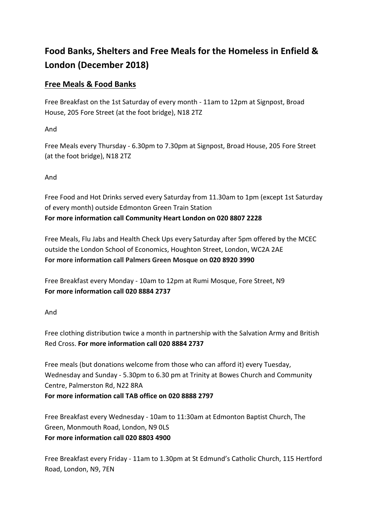# **Food Banks, Shelters and Free Meals for the Homeless in Enfield & London (December 2018)**

# **Free Meals & Food Banks**

Free Breakfast on the 1st Saturday of every month - 11am to 12pm at Signpost, Broad House, 205 Fore Street (at the foot bridge), N18 2TZ

And

Free Meals every Thursday - 6.30pm to 7.30pm at Signpost, Broad House, 205 Fore Street (at the foot bridge), N18 2TZ

And

Free Food and Hot Drinks served every Saturday from 11.30am to 1pm (except 1st Saturday of every month) outside Edmonton Green Train Station **For more information call Community Heart London on 020 8807 2228**

Free Meals, Flu Jabs and Health Check Ups every Saturday after 5pm offered by the MCEC outside the London School of Economics, Houghton Street, London, WC2A 2AE **For more information call Palmers Green Mosque on [020 8920 3990](https://www.google.co.uk/search?source=hp&ei=YND_W5LFBZHSkgX3vLWYAw&q=palmers+green+mosque&oq=Palmers+Green+Mosque&gs_l=psy-ab.1.0.0l10.2592.7353..9258...1.0..0.128.1478.20j1....2..0....1..gws-wiz.....6..35i39j0i131.aUEe9MOt820)**

Free Breakfast every Monday - 10am to 12pm at Rumi Mosque, Fore Street, N9 **For more information call 020 8884 2737**

And

Free clothing distribution twice a month in partnership with the Salvation Army and British Red Cross. **For more information call 020 8884 2737**

Free meals (but donations welcome from those who can afford it) every Tuesday, Wednesday and Sunday - 5.30pm to 6.30 pm at Trinity at Bowes Church and Community Centre, Palmerston Rd, N22 8RA **For more information call TAB office on 020 8888 2797**

Free Breakfast every Wednesday - 10am to 11:30am at Edmonton Baptist Church, The Green, Monmouth Road, London, N9 0LS **For more information call 020 8803 4900**

Free Breakfast every Friday - 11am to 1.30pm at St Edmund's Catholic Church, 115 Hertford Road, London, N9, 7EN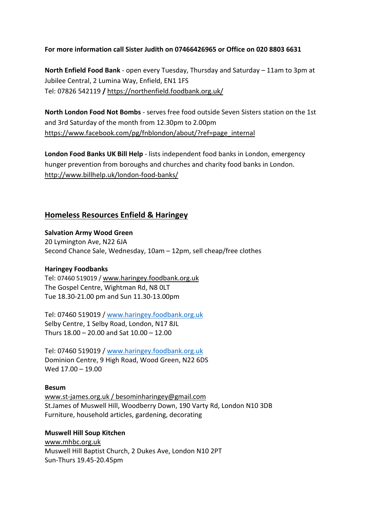### **For more information call Sister Judith on 07466426965 or Office on 020 8803 6631**

**North Enfield Food Bank** - open every Tuesday, Thursday and Saturday – 11am to 3pm at Jubilee Central, 2 Lumina Way, Enfield, EN1 1FS Tel: 07826 542119 **/** <https://northenfield.foodbank.org.uk/>

**North London Food Not Bombs** - serves free food outside Seven Sisters station on the 1st and 3rd Saturday of the month from 12.30pm to 2.00pm [https://www.facebook.com/pg/fnblondon/about/?ref=page\\_internal](https://www.facebook.com/pg/fnblondon/about/?ref=page_internal)

**London Food Banks UK Bill Help** - lists independent food banks in London, emergency hunger prevention from boroughs and churches and charity food banks in London. <http://www.billhelp.uk/london-food-banks/>

## **Homeless Resources Enfield & Haringey**

#### **Salvation Army Wood Green**

20 Lymington Ave, N22 6JA Second Chance Sale, Wednesday, 10am – 12pm, sell cheap/free clothes

### **Haringey Foodbanks**

Tel: 07460 519019 [/ www.haringey.foodbank.org.uk](http://www.haringey.foodbank.org.uk/) The Gospel Centre, Wightman Rd, N8 0LT Tue 18.30-21.00 pm and Sun 11.30-13.00pm

Tel: 07460 519019 / [www.haringey.foodbank.org.uk](http://www.haringey.foodbank.org.uk/) Selby Centre, 1 Selby Road, London, N17 8JL Thurs 18.00 – 20.00 and Sat 10.00 – 12.00

Tel: 07460 519019 / [www.haringey.foodbank.org.uk](http://www.haringey.foodbank.org.uk/) Dominion Centre, 9 High Road, Wood Green, N22 6DS Wed 17.00 – 19.00

### **Besum**

[www.st-james.org.uk](http://www.st-james.org.uk/) / besominharingey@gmail.com St.James of Muswell Hill, Woodberry Down, 190 Varty Rd, London N10 3DB Furniture, household articles, gardening, decorating

# **Muswell Hill Soup Kitchen** [www.mhbc.org.uk](http://www.mhbc.org.uk/)

Muswell Hill Baptist Church, 2 Dukes Ave, London N10 2PT Sun-Thurs 19.45-20.45pm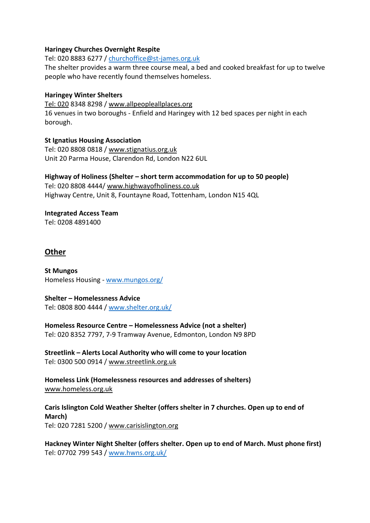### **Haringey Churches Overnight Respite**

Tel: 020 8883 6277 / [churchoffice@st-james.org.uk](mailto:churchoffice@st-james.org.uk)

The shelter provides a warm three course meal, a bed and cooked breakfast for up to twelve people who have recently found themselves homeless.

### **Haringey Winter Shelters**

[Tel: 020](http://Tel:%20020) 8348 8298 / [www.allpeopleallplaces.org](http://www.allpeopleallplaces.org/) 16 venues in two boroughs - Enfield and Haringey with 12 bed spaces per night in each borough.

**St Ignatius Housing Association** Tel: 020 8808 0818 / [www.stignatius.org.uk](http://www.stignatius.org.uk/) Unit 20 Parma House, Clarendon Rd, London N22 6UL

**Highway of Holiness (Shelter – short term accommodation for up to 50 people)** Tel: 020 8808 4444/ [www.highwayofholiness.co.uk](http://www.highwayofholiness.co.uk/)  Highway Centre, Unit 8, Fountayne Road, Tottenham, London N15 4QL

**Integrated Access Team** Tel: 0208 4891400

# **Other**

**St Mungos** Homeless Housing - [www.mungos.org/](http://www.mungos.org/)

**Shelter – Homelessness Advice** Tel: 0808 800 4444 / [www.shelter.org.uk/](http://www.shelter.org.uk/)

**Homeless Resource Centre – Homelessness Advice (not a shelter)** Tel: 020 8352 7797, 7-9 Tramway Avenue, Edmonton, London N9 8PD

**Streetlink – Alerts Local Authority who will come to your location** Tel: 0300 500 0914 / [www.streetlink.org.uk](http://www.streetlink.org.uk/)

**Homeless Link (Homelessness resources and addresses of shelters)** [www.homeless.org.uk](http://www.homeless.org.uk/)

**Caris Islington Cold Weather Shelter (offers shelter in 7 churches. Open up to end of March)** Tel: 020 7281 5200 / [www.carisislington.org](http://www.carisislington.org/)

**Hackney Winter Night Shelter (offers shelter. Open up to end of March. Must phone first)** Tel: 07702 799 543 / [www.hwns.org.uk/](http://www.hwns.org.uk/)